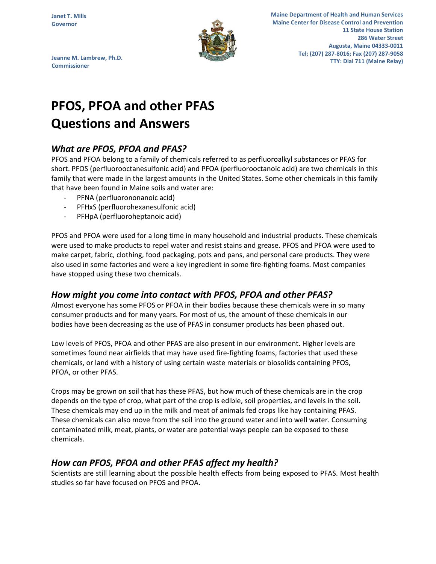

**Maine Department of Health and Human Services Maine Center for Disease Control and Prevention 11 State House Station 286 Water Street Augusta, Maine 04333-0011 Tel; (207) 287-8016; Fax (207) 287-9058 TTY: Dial 711 (Maine Relay)** 

**Jeanne M. Lambrew, Ph.D. Commissioner**

# **PFOS, PFOA and other PFAS Questions and Answers**

## *What are PFOS, PFOA and PFAS?*

PFOS and PFOA belong to a family of chemicals referred to as perfluoroalkyl substances or PFAS for short. PFOS (perfluorooctanesulfonic acid) and PFOA (perfluorooctanoic acid) are two chemicals in this family that were made in the largest amounts in the United States. Some other chemicals in this family that have been found in Maine soils and water are:

- PFNA (perfluorononanoic acid)
- PFHxS (perfluorohexanesulfonic acid)
- PFHpA (perfluoroheptanoic acid)

PFOS and PFOA were used for a long time in many household and industrial products. These chemicals were used to make products to repel water and resist stains and grease. PFOS and PFOA were used to make carpet, fabric, clothing, food packaging, pots and pans, and personal care products. They were also used in some factories and were a key ingredient in some fire-fighting foams. Most companies have stopped using these two chemicals.

### *How might you come into contact with PFOS, PFOA and other PFAS?*

Almost everyone has some PFOS or PFOA in their bodies because these chemicals were in so many consumer products and for many years. For most of us, the amount of these chemicals in our bodies have been decreasing as the use of PFAS in consumer products has been phased out.

Low levels of PFOS, PFOA and other PFAS are also present in our environment. Higher levels are sometimes found near airfields that may have used fire-fighting foams, factories that used these chemicals, or land with a history of using certain waste materials or biosolids containing PFOS, PFOA, or other PFAS.

Crops may be grown on soil that has these PFAS, but how much of these chemicals are in the crop depends on the type of crop, what part of the crop is edible, soil properties, and levels in the soil. These chemicals may end up in the milk and meat of animals fed crops like hay containing PFAS. These chemicals can also move from the soil into the ground water and into well water. Consuming contaminated milk, meat, plants, or water are potential ways people can be exposed to these chemicals.

### *How can PFOS, PFOA and other PFAS affect my health?*

Scientists are still learning about the possible health effects from being exposed to PFAS. Most health studies so far have focused on PFOS and PFOA.